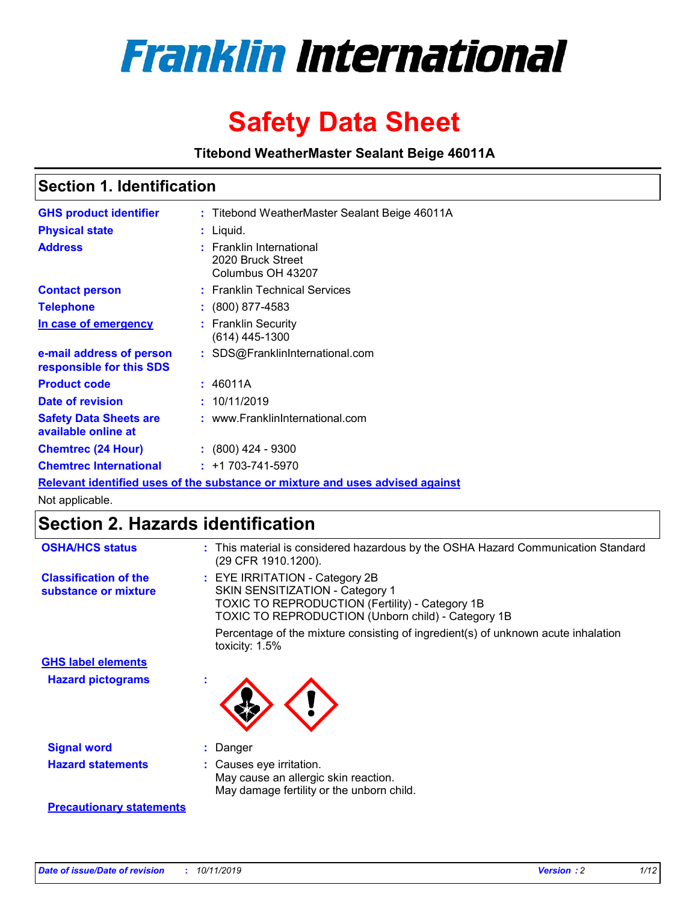

# **Safety Data Sheet**

**Titebond WeatherMaster Sealant Beige 46011A**

## **Section 1. Identification**

| <b>GHS product identifier</b>                        | : Titebond WeatherMaster Sealant Beige 46011A                                 |
|------------------------------------------------------|-------------------------------------------------------------------------------|
| <b>Physical state</b>                                | : Liquid.                                                                     |
| <b>Address</b>                                       | : Franklin International<br>2020 Bruck Street<br>Columbus OH 43207            |
| <b>Contact person</b>                                | : Franklin Technical Services                                                 |
| <b>Telephone</b>                                     | $\div$ (800) 877-4583                                                         |
| In case of emergency                                 | : Franklin Security<br>(614) 445-1300                                         |
| e-mail address of person<br>responsible for this SDS | : SDS@FranklinInternational.com                                               |
| <b>Product code</b>                                  | : 46011A                                                                      |
| Date of revision                                     | : 10/11/2019                                                                  |
| <b>Safety Data Sheets are</b><br>available online at | : www.FranklinInternational.com                                               |
| <b>Chemtrec (24 Hour)</b>                            | $\div$ (800) 424 - 9300                                                       |
| <b>Chemtrec International</b>                        | $: +1703 - 741 - 5970$                                                        |
|                                                      | Relevant identified uses of the substance or mixture and uses advised against |

Not applicable.

# **Section 2. Hazards identification**

| <b>OSHA/HCS status</b>                               | : This material is considered hazardous by the OSHA Hazard Communication Standard<br>(29 CFR 1910.1200).                                                                                 |
|------------------------------------------------------|------------------------------------------------------------------------------------------------------------------------------------------------------------------------------------------|
| <b>Classification of the</b><br>substance or mixture | : EYE IRRITATION - Category 2B<br>SKIN SENSITIZATION - Category 1<br><b>TOXIC TO REPRODUCTION (Fertility) - Category 1B</b><br><b>TOXIC TO REPRODUCTION (Unborn child) - Category 1B</b> |
|                                                      | Percentage of the mixture consisting of ingredient(s) of unknown acute inhalation<br>toxicity: $1.5\%$                                                                                   |
| <b>GHS label elements</b>                            |                                                                                                                                                                                          |
| <b>Hazard pictograms</b>                             |                                                                                                                                                                                          |
| <b>Signal word</b>                                   | : Danger                                                                                                                                                                                 |
| <b>Hazard statements</b>                             | : Causes eye irritation.<br>May cause an allergic skin reaction.<br>May damage fertility or the unborn child.                                                                            |
| <b>Precautionary statements</b>                      |                                                                                                                                                                                          |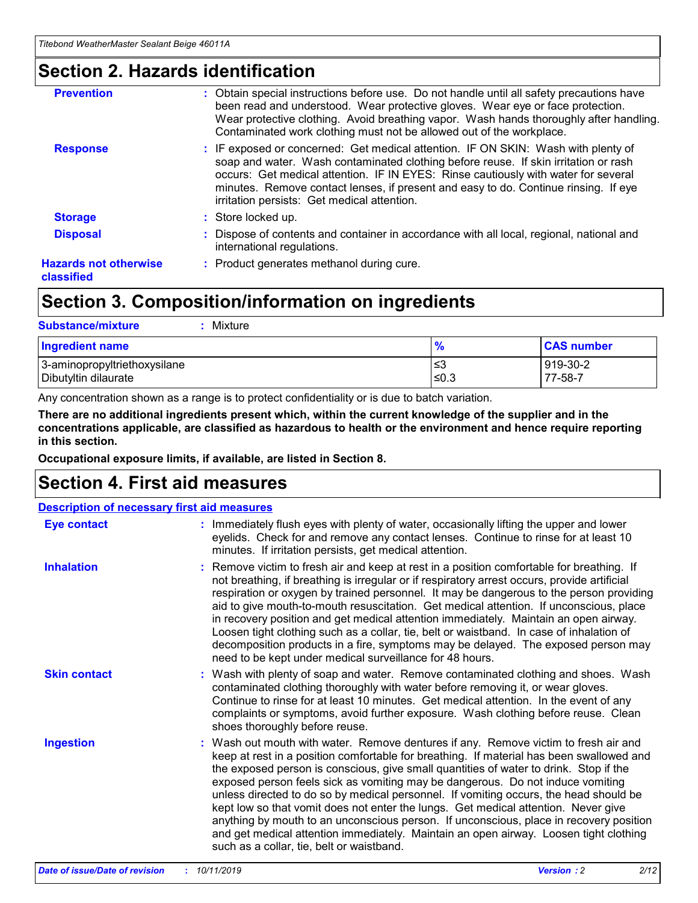# **Section 2. Hazards identification**

| <b>Prevention</b>                          | : Obtain special instructions before use. Do not handle until all safety precautions have<br>been read and understood. Wear protective gloves. Wear eye or face protection.<br>Wear protective clothing. Avoid breathing vapor. Wash hands thoroughly after handling.<br>Contaminated work clothing must not be allowed out of the workplace.                                                        |
|--------------------------------------------|------------------------------------------------------------------------------------------------------------------------------------------------------------------------------------------------------------------------------------------------------------------------------------------------------------------------------------------------------------------------------------------------------|
| <b>Response</b>                            | : IF exposed or concerned: Get medical attention. IF ON SKIN: Wash with plenty of<br>soap and water. Wash contaminated clothing before reuse. If skin irritation or rash<br>occurs: Get medical attention. IF IN EYES: Rinse cautiously with water for several<br>minutes. Remove contact lenses, if present and easy to do. Continue rinsing. If eye<br>irritation persists: Get medical attention. |
| <b>Storage</b>                             | : Store locked up.                                                                                                                                                                                                                                                                                                                                                                                   |
| <b>Disposal</b>                            | : Dispose of contents and container in accordance with all local, regional, national and<br>international regulations.                                                                                                                                                                                                                                                                               |
| <b>Hazards not otherwise</b><br>classified | : Product generates methanol during cure.                                                                                                                                                                                                                                                                                                                                                            |
|                                            |                                                                                                                                                                                                                                                                                                                                                                                                      |

# **Section 3. Composition/information on ingredients**

| <b>Substance/mixture</b><br>: Mixture                |               |                     |
|------------------------------------------------------|---------------|---------------------|
| Ingredient name                                      | $\frac{9}{6}$ | <b>CAS number</b>   |
| 3-aminopropyltriethoxysilane<br>Dibutyltin dilaurate | צ≥<br>≤0.3    | 919-30-2<br>77-58-7 |

Any concentration shown as a range is to protect confidentiality or is due to batch variation.

**There are no additional ingredients present which, within the current knowledge of the supplier and in the concentrations applicable, are classified as hazardous to health or the environment and hence require reporting in this section.**

**Occupational exposure limits, if available, are listed in Section 8.**

# **Section 4. First aid measures**

| <b>Description of necessary first aid measures</b> |                                                                                                                                                                                                                                                                                                                                                                                                                                                                                                                                                                                                                                                                                                                                                                           |  |  |  |
|----------------------------------------------------|---------------------------------------------------------------------------------------------------------------------------------------------------------------------------------------------------------------------------------------------------------------------------------------------------------------------------------------------------------------------------------------------------------------------------------------------------------------------------------------------------------------------------------------------------------------------------------------------------------------------------------------------------------------------------------------------------------------------------------------------------------------------------|--|--|--|
| <b>Eye contact</b>                                 | : Immediately flush eyes with plenty of water, occasionally lifting the upper and lower<br>eyelids. Check for and remove any contact lenses. Continue to rinse for at least 10<br>minutes. If irritation persists, get medical attention.                                                                                                                                                                                                                                                                                                                                                                                                                                                                                                                                 |  |  |  |
| <b>Inhalation</b>                                  | : Remove victim to fresh air and keep at rest in a position comfortable for breathing. If<br>not breathing, if breathing is irregular or if respiratory arrest occurs, provide artificial<br>respiration or oxygen by trained personnel. It may be dangerous to the person providing<br>aid to give mouth-to-mouth resuscitation. Get medical attention. If unconscious, place<br>in recovery position and get medical attention immediately. Maintain an open airway.<br>Loosen tight clothing such as a collar, tie, belt or waistband. In case of inhalation of<br>decomposition products in a fire, symptoms may be delayed. The exposed person may<br>need to be kept under medical surveillance for 48 hours.                                                       |  |  |  |
| <b>Skin contact</b>                                | : Wash with plenty of soap and water. Remove contaminated clothing and shoes. Wash<br>contaminated clothing thoroughly with water before removing it, or wear gloves.<br>Continue to rinse for at least 10 minutes. Get medical attention. In the event of any<br>complaints or symptoms, avoid further exposure. Wash clothing before reuse. Clean<br>shoes thoroughly before reuse.                                                                                                                                                                                                                                                                                                                                                                                     |  |  |  |
| <b>Ingestion</b>                                   | : Wash out mouth with water. Remove dentures if any. Remove victim to fresh air and<br>keep at rest in a position comfortable for breathing. If material has been swallowed and<br>the exposed person is conscious, give small quantities of water to drink. Stop if the<br>exposed person feels sick as vomiting may be dangerous. Do not induce vomiting<br>unless directed to do so by medical personnel. If vomiting occurs, the head should be<br>kept low so that vomit does not enter the lungs. Get medical attention. Never give<br>anything by mouth to an unconscious person. If unconscious, place in recovery position<br>and get medical attention immediately. Maintain an open airway. Loosen tight clothing<br>such as a collar, tie, belt or waistband. |  |  |  |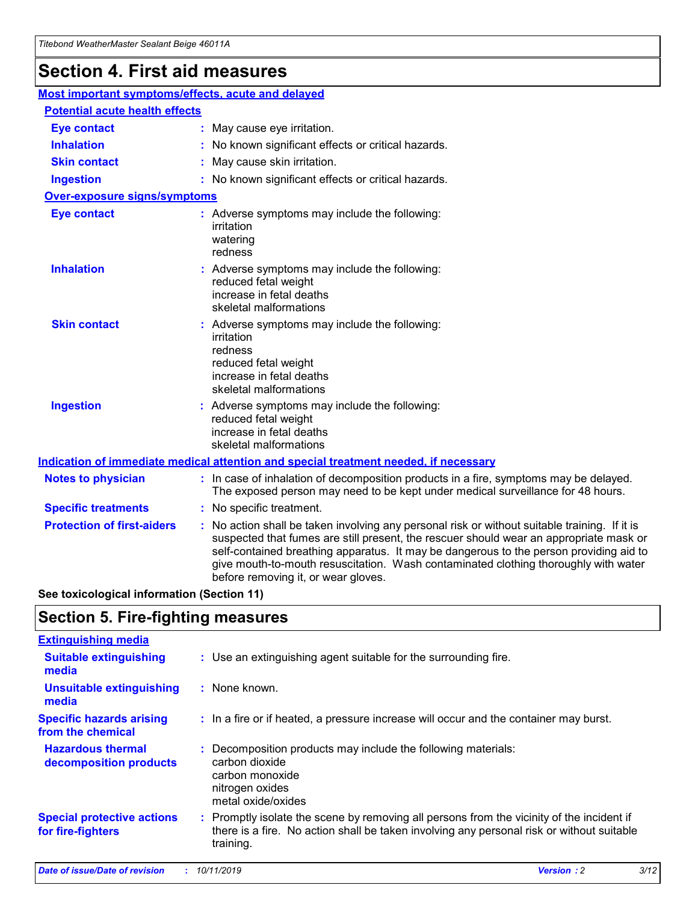# **Section 4. First aid measures**

| Most important symptoms/effects, acute and delayed                                          |                                                                                                                             |                                                                                                                                                                                                                                                                                                                                                                                                                 |  |  |
|---------------------------------------------------------------------------------------------|-----------------------------------------------------------------------------------------------------------------------------|-----------------------------------------------------------------------------------------------------------------------------------------------------------------------------------------------------------------------------------------------------------------------------------------------------------------------------------------------------------------------------------------------------------------|--|--|
| <b>Potential acute health effects</b>                                                       |                                                                                                                             |                                                                                                                                                                                                                                                                                                                                                                                                                 |  |  |
| <b>Eye contact</b>                                                                          |                                                                                                                             | : May cause eye irritation.                                                                                                                                                                                                                                                                                                                                                                                     |  |  |
| <b>Inhalation</b>                                                                           |                                                                                                                             | : No known significant effects or critical hazards.                                                                                                                                                                                                                                                                                                                                                             |  |  |
| <b>Skin contact</b>                                                                         |                                                                                                                             | : May cause skin irritation.                                                                                                                                                                                                                                                                                                                                                                                    |  |  |
| <b>Ingestion</b>                                                                            |                                                                                                                             | : No known significant effects or critical hazards.                                                                                                                                                                                                                                                                                                                                                             |  |  |
| <b>Over-exposure signs/symptoms</b>                                                         |                                                                                                                             |                                                                                                                                                                                                                                                                                                                                                                                                                 |  |  |
| <b>Eye contact</b>                                                                          |                                                                                                                             | : Adverse symptoms may include the following:<br>irritation<br>watering<br>redness                                                                                                                                                                                                                                                                                                                              |  |  |
| <b>Inhalation</b>                                                                           |                                                                                                                             | : Adverse symptoms may include the following:<br>reduced fetal weight<br>increase in fetal deaths<br>skeletal malformations                                                                                                                                                                                                                                                                                     |  |  |
| <b>Skin contact</b>                                                                         |                                                                                                                             | : Adverse symptoms may include the following:<br>irritation<br>redness<br>reduced fetal weight<br>increase in fetal deaths<br>skeletal malformations                                                                                                                                                                                                                                                            |  |  |
| <b>Ingestion</b>                                                                            | : Adverse symptoms may include the following:<br>reduced fetal weight<br>increase in fetal deaths<br>skeletal malformations |                                                                                                                                                                                                                                                                                                                                                                                                                 |  |  |
| <b>Indication of immediate medical attention and special treatment needed, if necessary</b> |                                                                                                                             |                                                                                                                                                                                                                                                                                                                                                                                                                 |  |  |
| <b>Notes to physician</b>                                                                   |                                                                                                                             | : In case of inhalation of decomposition products in a fire, symptoms may be delayed.<br>The exposed person may need to be kept under medical surveillance for 48 hours.                                                                                                                                                                                                                                        |  |  |
| <b>Specific treatments</b>                                                                  |                                                                                                                             | : No specific treatment.                                                                                                                                                                                                                                                                                                                                                                                        |  |  |
| <b>Protection of first-aiders</b>                                                           |                                                                                                                             | : No action shall be taken involving any personal risk or without suitable training. If it is<br>suspected that fumes are still present, the rescuer should wear an appropriate mask or<br>self-contained breathing apparatus. It may be dangerous to the person providing aid to<br>give mouth-to-mouth resuscitation. Wash contaminated clothing thoroughly with water<br>before removing it, or wear gloves. |  |  |

**See toxicological information (Section 11)**

# **Section 5. Fire-fighting measures**

| <b>Extinguishing media</b>                             |                                                                                                                                                                                                     |
|--------------------------------------------------------|-----------------------------------------------------------------------------------------------------------------------------------------------------------------------------------------------------|
| <b>Suitable extinguishing</b><br>media                 | : Use an extinguishing agent suitable for the surrounding fire.                                                                                                                                     |
| <b>Unsuitable extinguishing</b><br>media               | $:$ None known.                                                                                                                                                                                     |
| <b>Specific hazards arising</b><br>from the chemical   | : In a fire or if heated, a pressure increase will occur and the container may burst.                                                                                                               |
| <b>Hazardous thermal</b><br>decomposition products     | : Decomposition products may include the following materials:<br>carbon dioxide<br>carbon monoxide<br>nitrogen oxides<br>metal oxide/oxides                                                         |
| <b>Special protective actions</b><br>for fire-fighters | : Promptly isolate the scene by removing all persons from the vicinity of the incident if<br>there is a fire. No action shall be taken involving any personal risk or without suitable<br>training. |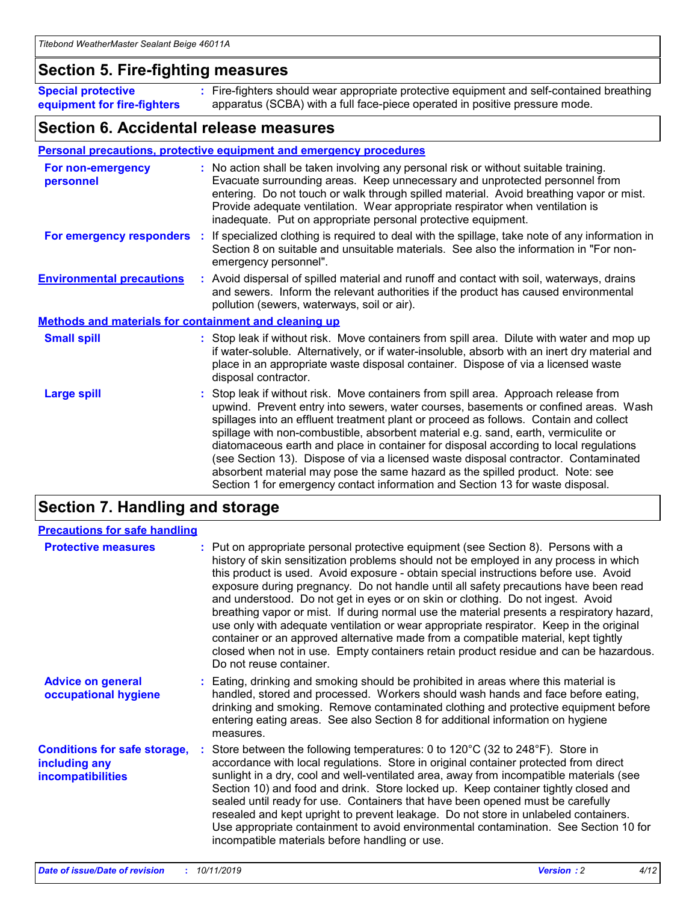## **Section 5. Fire-fighting measures**

**Special protective equipment for fire-fighters** Fire-fighters should wear appropriate protective equipment and self-contained breathing **:** apparatus (SCBA) with a full face-piece operated in positive pressure mode.

## **Section 6. Accidental release measures**

#### **Personal precautions, protective equipment and emergency procedures**

| For non-emergency<br>personnel                               | : No action shall be taken involving any personal risk or without suitable training.<br>Evacuate surrounding areas. Keep unnecessary and unprotected personnel from<br>entering. Do not touch or walk through spilled material. Avoid breathing vapor or mist.<br>Provide adequate ventilation. Wear appropriate respirator when ventilation is<br>inadequate. Put on appropriate personal protective equipment.                                                                                                                                                                                                                                                                                             |
|--------------------------------------------------------------|--------------------------------------------------------------------------------------------------------------------------------------------------------------------------------------------------------------------------------------------------------------------------------------------------------------------------------------------------------------------------------------------------------------------------------------------------------------------------------------------------------------------------------------------------------------------------------------------------------------------------------------------------------------------------------------------------------------|
|                                                              | For emergency responders : If specialized clothing is required to deal with the spillage, take note of any information in<br>Section 8 on suitable and unsuitable materials. See also the information in "For non-<br>emergency personnel".                                                                                                                                                                                                                                                                                                                                                                                                                                                                  |
| <b>Environmental precautions</b>                             | : Avoid dispersal of spilled material and runoff and contact with soil, waterways, drains<br>and sewers. Inform the relevant authorities if the product has caused environmental<br>pollution (sewers, waterways, soil or air).                                                                                                                                                                                                                                                                                                                                                                                                                                                                              |
| <b>Methods and materials for containment and cleaning up</b> |                                                                                                                                                                                                                                                                                                                                                                                                                                                                                                                                                                                                                                                                                                              |
| <b>Small spill</b>                                           | : Stop leak if without risk. Move containers from spill area. Dilute with water and mop up<br>if water-soluble. Alternatively, or if water-insoluble, absorb with an inert dry material and<br>place in an appropriate waste disposal container. Dispose of via a licensed waste<br>disposal contractor.                                                                                                                                                                                                                                                                                                                                                                                                     |
| <b>Large spill</b>                                           | : Stop leak if without risk. Move containers from spill area. Approach release from<br>upwind. Prevent entry into sewers, water courses, basements or confined areas. Wash<br>spillages into an effluent treatment plant or proceed as follows. Contain and collect<br>spillage with non-combustible, absorbent material e.g. sand, earth, vermiculite or<br>diatomaceous earth and place in container for disposal according to local regulations<br>(see Section 13). Dispose of via a licensed waste disposal contractor. Contaminated<br>absorbent material may pose the same hazard as the spilled product. Note: see<br>Section 1 for emergency contact information and Section 13 for waste disposal. |

# **Section 7. Handling and storage**

| <b>Precautions for safe handling</b>                                             |                                                                                                                                                                                                                                                                                                                                                                                                                                                                                                                                                                                                                                                                                                                                                                                                                                                  |
|----------------------------------------------------------------------------------|--------------------------------------------------------------------------------------------------------------------------------------------------------------------------------------------------------------------------------------------------------------------------------------------------------------------------------------------------------------------------------------------------------------------------------------------------------------------------------------------------------------------------------------------------------------------------------------------------------------------------------------------------------------------------------------------------------------------------------------------------------------------------------------------------------------------------------------------------|
| <b>Protective measures</b>                                                       | : Put on appropriate personal protective equipment (see Section 8). Persons with a<br>history of skin sensitization problems should not be employed in any process in which<br>this product is used. Avoid exposure - obtain special instructions before use. Avoid<br>exposure during pregnancy. Do not handle until all safety precautions have been read<br>and understood. Do not get in eyes or on skin or clothing. Do not ingest. Avoid<br>breathing vapor or mist. If during normal use the material presents a respiratory hazard,<br>use only with adequate ventilation or wear appropriate respirator. Keep in the original<br>container or an approved alternative made from a compatible material, kept tightly<br>closed when not in use. Empty containers retain product residue and can be hazardous.<br>Do not reuse container. |
| <b>Advice on general</b><br>occupational hygiene                                 | : Eating, drinking and smoking should be prohibited in areas where this material is<br>handled, stored and processed. Workers should wash hands and face before eating,<br>drinking and smoking. Remove contaminated clothing and protective equipment before<br>entering eating areas. See also Section 8 for additional information on hygiene<br>measures.                                                                                                                                                                                                                                                                                                                                                                                                                                                                                    |
| <b>Conditions for safe storage,</b><br>including any<br><b>incompatibilities</b> | Store between the following temperatures: 0 to 120°C (32 to 248°F). Store in<br>accordance with local regulations. Store in original container protected from direct<br>sunlight in a dry, cool and well-ventilated area, away from incompatible materials (see<br>Section 10) and food and drink. Store locked up. Keep container tightly closed and<br>sealed until ready for use. Containers that have been opened must be carefully<br>resealed and kept upright to prevent leakage. Do not store in unlabeled containers.<br>Use appropriate containment to avoid environmental contamination. See Section 10 for<br>incompatible materials before handling or use.                                                                                                                                                                         |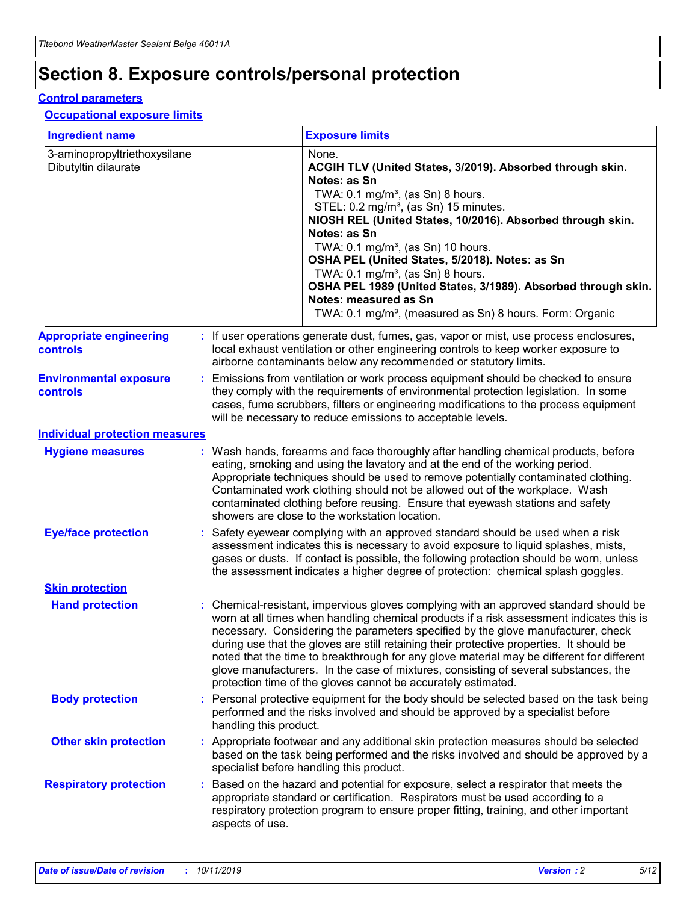# **Section 8. Exposure controls/personal protection**

#### **Control parameters**

#### **Occupational exposure limits**

| <b>Ingredient name</b>                               |    |                        | <b>Exposure limits</b>                                                                                                                                                                                                                                                                                                                                                                                                                                                                                                                                                                                                 |
|------------------------------------------------------|----|------------------------|------------------------------------------------------------------------------------------------------------------------------------------------------------------------------------------------------------------------------------------------------------------------------------------------------------------------------------------------------------------------------------------------------------------------------------------------------------------------------------------------------------------------------------------------------------------------------------------------------------------------|
| 3-aminopropyltriethoxysilane<br>Dibutyltin dilaurate |    |                        | None.<br>ACGIH TLV (United States, 3/2019). Absorbed through skin.<br>Notes: as Sn<br>TWA: 0.1 mg/m <sup>3</sup> , (as Sn) 8 hours.<br>STEL: 0.2 mg/m <sup>3</sup> , (as Sn) 15 minutes.<br>NIOSH REL (United States, 10/2016). Absorbed through skin.<br>Notes: as Sn<br>TWA: 0.1 mg/m <sup>3</sup> , (as Sn) 10 hours.<br>OSHA PEL (United States, 5/2018). Notes: as Sn<br>TWA: $0.1 \text{ mg/m}^3$ , (as Sn) 8 hours.<br>OSHA PEL 1989 (United States, 3/1989). Absorbed through skin.<br>Notes: measured as Sn<br>TWA: 0.1 mg/m <sup>3</sup> , (measured as Sn) 8 hours. Form: Organic                           |
| <b>Appropriate engineering</b><br>controls           |    |                        | : If user operations generate dust, fumes, gas, vapor or mist, use process enclosures,<br>local exhaust ventilation or other engineering controls to keep worker exposure to<br>airborne contaminants below any recommended or statutory limits.                                                                                                                                                                                                                                                                                                                                                                       |
| <b>Environmental exposure</b><br><b>controls</b>     |    |                        | Emissions from ventilation or work process equipment should be checked to ensure<br>they comply with the requirements of environmental protection legislation. In some<br>cases, fume scrubbers, filters or engineering modifications to the process equipment<br>will be necessary to reduce emissions to acceptable levels.                                                                                                                                                                                                                                                                                          |
| <b>Individual protection measures</b>                |    |                        |                                                                                                                                                                                                                                                                                                                                                                                                                                                                                                                                                                                                                        |
| <b>Hygiene measures</b>                              |    |                        | : Wash hands, forearms and face thoroughly after handling chemical products, before<br>eating, smoking and using the lavatory and at the end of the working period.<br>Appropriate techniques should be used to remove potentially contaminated clothing.<br>Contaminated work clothing should not be allowed out of the workplace. Wash<br>contaminated clothing before reusing. Ensure that eyewash stations and safety<br>showers are close to the workstation location.                                                                                                                                            |
| <b>Eye/face protection</b>                           |    |                        | : Safety eyewear complying with an approved standard should be used when a risk<br>assessment indicates this is necessary to avoid exposure to liquid splashes, mists,<br>gases or dusts. If contact is possible, the following protection should be worn, unless<br>the assessment indicates a higher degree of protection: chemical splash goggles.                                                                                                                                                                                                                                                                  |
| <b>Skin protection</b>                               |    |                        |                                                                                                                                                                                                                                                                                                                                                                                                                                                                                                                                                                                                                        |
| <b>Hand protection</b>                               |    |                        | : Chemical-resistant, impervious gloves complying with an approved standard should be<br>worn at all times when handling chemical products if a risk assessment indicates this is<br>necessary. Considering the parameters specified by the glove manufacturer, check<br>during use that the gloves are still retaining their protective properties. It should be<br>noted that the time to breakthrough for any glove material may be different for different<br>glove manufacturers. In the case of mixtures, consisting of several substances, the<br>protection time of the gloves cannot be accurately estimated. |
| <b>Body protection</b>                               |    | handling this product. | Personal protective equipment for the body should be selected based on the task being<br>performed and the risks involved and should be approved by a specialist before                                                                                                                                                                                                                                                                                                                                                                                                                                                |
| <b>Other skin protection</b>                         |    |                        | : Appropriate footwear and any additional skin protection measures should be selected<br>based on the task being performed and the risks involved and should be approved by a<br>specialist before handling this product.                                                                                                                                                                                                                                                                                                                                                                                              |
| <b>Respiratory protection</b>                        | ÷. | aspects of use.        | Based on the hazard and potential for exposure, select a respirator that meets the<br>appropriate standard or certification. Respirators must be used according to a<br>respiratory protection program to ensure proper fitting, training, and other important                                                                                                                                                                                                                                                                                                                                                         |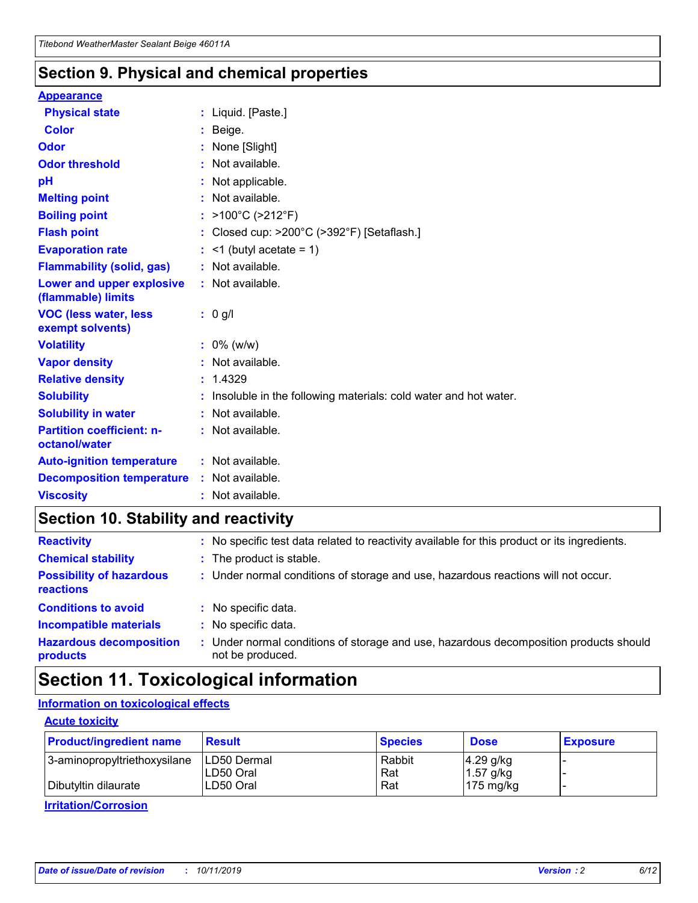## **Section 9. Physical and chemical properties**

#### **Appearance**

| <b>Physical state</b>                             | : Liquid. [Paste.]                                                |
|---------------------------------------------------|-------------------------------------------------------------------|
| Color                                             | Beige.                                                            |
| Odor                                              | None [Slight]                                                     |
| <b>Odor threshold</b>                             | : Not available.                                                  |
| рH                                                | : Not applicable.                                                 |
| <b>Melting point</b>                              | : Not available.                                                  |
| <b>Boiling point</b>                              | : $>100^{\circ}$ C ( $>212^{\circ}$ F)                            |
| <b>Flash point</b>                                | : Closed cup: $>200^{\circ}$ C ( $>392^{\circ}$ F) [Setaflash.]   |
| <b>Evaporation rate</b>                           | $:$ <1 (butyl acetate = 1)                                        |
| <b>Flammability (solid, gas)</b>                  | : Not available.                                                  |
| Lower and upper explosive<br>(flammable) limits   | : Not available.                                                  |
| <b>VOC (less water, less</b><br>exempt solvents)  | $: 0$ g/l                                                         |
| <b>Volatility</b>                                 | $: 0\%$ (w/w)                                                     |
| <b>Vapor density</b>                              | : Not available.                                                  |
| <b>Relative density</b>                           | : 1.4329                                                          |
| <b>Solubility</b>                                 | : Insoluble in the following materials: cold water and hot water. |
| <b>Solubility in water</b>                        | : Not available.                                                  |
| <b>Partition coefficient: n-</b><br>octanol/water | : Not available.                                                  |
| <b>Auto-ignition temperature</b>                  | : Not available.                                                  |
| <b>Decomposition temperature</b>                  | : Not available.                                                  |
| <b>Viscosity</b>                                  | : Not available.                                                  |

# **Section 10. Stability and reactivity**

| <b>Reactivity</b>                            |    | : No specific test data related to reactivity available for this product or its ingredients.            |
|----------------------------------------------|----|---------------------------------------------------------------------------------------------------------|
| <b>Chemical stability</b>                    |    | : The product is stable.                                                                                |
| <b>Possibility of hazardous</b><br>reactions |    | : Under normal conditions of storage and use, hazardous reactions will not occur.                       |
| <b>Conditions to avoid</b>                   |    | : No specific data.                                                                                     |
| <b>Incompatible materials</b>                | ٠. | No specific data.                                                                                       |
| <b>Hazardous decomposition</b><br>products   | ÷. | Under normal conditions of storage and use, hazardous decomposition products should<br>not be produced. |

# **Section 11. Toxicological information**

## **Information on toxicological effects**

#### **Acute toxicity**

| <b>Product/ingredient name</b> | <b>Result</b>           | <b>Species</b> | <b>Dose</b>                | <b>Exposure</b> |
|--------------------------------|-------------------------|----------------|----------------------------|-----------------|
| 3-aminopropyltriethoxysilane   | <b>ILD50 Dermal</b>     | Rabbit         | 4.29 g/kg                  |                 |
| Dibutyltin dilaurate           | ILD50 Oral<br>LD50 Oral | Rat<br>Rat     | $1.57$ g/kg<br>175 $mg/kg$ |                 |
|                                |                         |                |                            |                 |

**Irritation/Corrosion**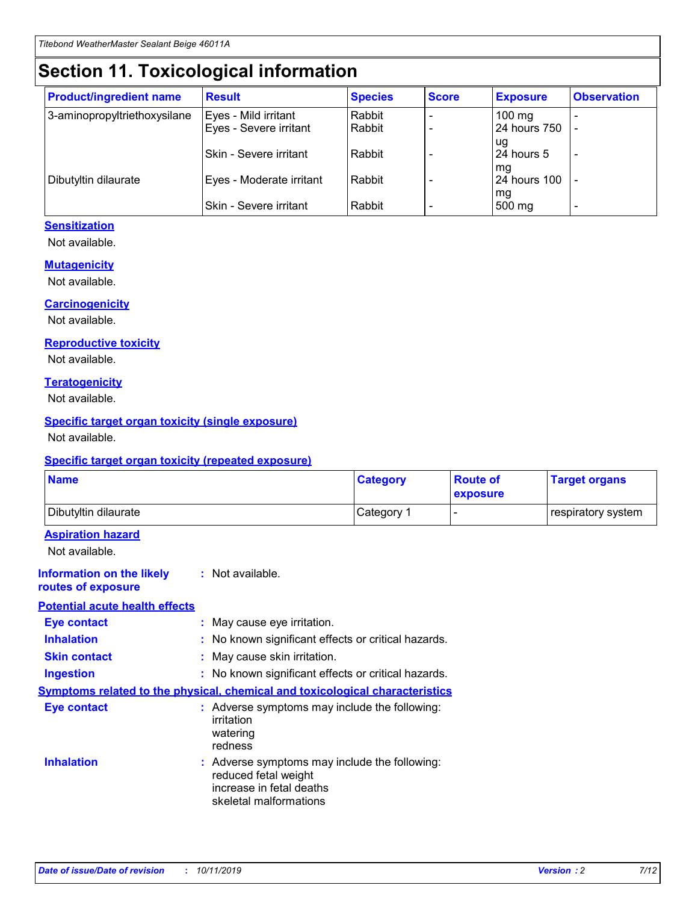# **Section 11. Toxicological information**

| <b>Product/ingredient name</b> | <b>Result</b>            | <b>Species</b> | <b>Score</b> | <b>Exposure</b>           | <b>Observation</b> |
|--------------------------------|--------------------------|----------------|--------------|---------------------------|--------------------|
| 3-aminopropyltriethoxysilane   | Eyes - Mild irritant     | Rabbit         |              | $100$ mg                  |                    |
|                                | Eyes - Severe irritant   | Rabbit         |              | 24 hours 750              |                    |
|                                |                          |                |              | ug                        |                    |
|                                | Skin - Severe irritant   | Rabbit         |              | 24 hours 5                | -                  |
| Dibutyltin dilaurate           | Eyes - Moderate irritant | Rabbit         |              | mq<br><b>24 hours 100</b> |                    |
|                                |                          |                |              | mg                        |                    |
|                                | Skin - Severe irritant   | Rabbit         |              | 500 mg                    |                    |

### **Sensitization**

Not available.

#### **Mutagenicity**

Not available.

#### **Carcinogenicity**

Not available.

#### **Reproductive toxicity**

Not available.

#### **Teratogenicity**

Not available.

#### **Specific target organ toxicity (single exposure)**

Not available.

#### **Specific target organ toxicity (repeated exposure)**

| <b>Name</b>                                                                  |                                                                                                                             | <b>Category</b> | <b>Route of</b><br>exposure  | <b>Target organs</b> |
|------------------------------------------------------------------------------|-----------------------------------------------------------------------------------------------------------------------------|-----------------|------------------------------|----------------------|
| Dibutyltin dilaurate                                                         |                                                                                                                             | Category 1      | $\qquad \qquad \blacksquare$ | respiratory system   |
| <b>Aspiration hazard</b><br>Not available.                                   |                                                                                                                             |                 |                              |                      |
| <b>Information on the likely</b><br>routes of exposure                       | : Not available.                                                                                                            |                 |                              |                      |
| <b>Potential acute health effects</b>                                        |                                                                                                                             |                 |                              |                      |
| <b>Eye contact</b>                                                           | : May cause eye irritation.                                                                                                 |                 |                              |                      |
| <b>Inhalation</b>                                                            | : No known significant effects or critical hazards.                                                                         |                 |                              |                      |
| <b>Skin contact</b>                                                          | : May cause skin irritation.                                                                                                |                 |                              |                      |
| <b>Ingestion</b>                                                             | : No known significant effects or critical hazards.                                                                         |                 |                              |                      |
| Symptoms related to the physical, chemical and toxicological characteristics |                                                                                                                             |                 |                              |                      |
| <b>Eye contact</b>                                                           | : Adverse symptoms may include the following:<br>irritation<br>watering<br>redness                                          |                 |                              |                      |
| <b>Inhalation</b>                                                            | : Adverse symptoms may include the following:<br>reduced fetal weight<br>increase in fetal deaths<br>skeletal malformations |                 |                              |                      |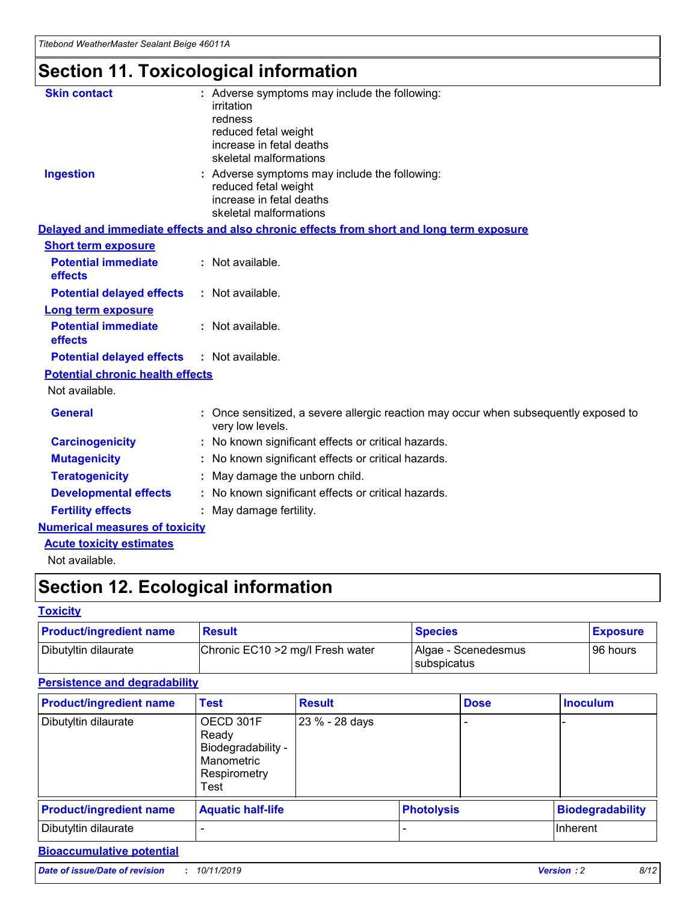# **Section 11. Toxicological information**

| <b>Skin contact</b>                     | : Adverse symptoms may include the following:                                                            |
|-----------------------------------------|----------------------------------------------------------------------------------------------------------|
|                                         | irritation                                                                                               |
|                                         | redness                                                                                                  |
|                                         | reduced fetal weight                                                                                     |
|                                         | increase in fetal deaths                                                                                 |
|                                         | skeletal malformations                                                                                   |
| <b>Ingestion</b>                        | : Adverse symptoms may include the following:                                                            |
|                                         | reduced fetal weight                                                                                     |
|                                         | increase in fetal deaths                                                                                 |
|                                         | skeletal malformations                                                                                   |
|                                         | Delayed and immediate effects and also chronic effects from short and long term exposure                 |
| <b>Short term exposure</b>              |                                                                                                          |
| <b>Potential immediate</b>              | : Not available.                                                                                         |
| effects                                 |                                                                                                          |
| <b>Potential delayed effects</b>        | : Not available.                                                                                         |
| Long term exposure                      |                                                                                                          |
| <b>Potential immediate</b>              | : Not available.                                                                                         |
| effects                                 |                                                                                                          |
| <b>Potential delayed effects</b>        | : Not available.                                                                                         |
| <b>Potential chronic health effects</b> |                                                                                                          |
| Not available.                          |                                                                                                          |
| <b>General</b>                          | : Once sensitized, a severe allergic reaction may occur when subsequently exposed to<br>very low levels. |
| <b>Carcinogenicity</b>                  | : No known significant effects or critical hazards.                                                      |
| <b>Mutagenicity</b>                     | : No known significant effects or critical hazards.                                                      |
| <b>Teratogenicity</b>                   | May damage the unborn child.                                                                             |
| <b>Developmental effects</b>            | : No known significant effects or critical hazards.                                                      |
| <b>Fertility effects</b>                | May damage fertility.                                                                                    |
| <b>Numerical measures of toxicity</b>   |                                                                                                          |
| <b>Acute toxicity estimates</b>         |                                                                                                          |
| الملحلة والمستحقق فالمرابط              |                                                                                                          |

Not available.

# **Section 12. Ecological information**

#### **Toxicity**

| <b>Product/ingredient name</b> | <b>Result</b>                     | <b>Species</b>                       | <b>Exposure</b> |
|--------------------------------|-----------------------------------|--------------------------------------|-----------------|
| Dibutyltin dilaurate           | Chronic EC10 > 2 mg/l Fresh water | Algae - Scenedesmus<br>I subspicatus | l 96 hours      |

## **Persistence and degradability**

| <b>Product/ingredient name</b> | <b>Test</b>                                                                    | <b>Result</b>  |                   | <b>Dose</b> | <b>Inoculum</b>         |
|--------------------------------|--------------------------------------------------------------------------------|----------------|-------------------|-------------|-------------------------|
| Dibutyltin dilaurate           | OECD 301F<br>Ready<br>Biodegradability -<br>Manometric<br>Respirometry<br>Test | 23 % - 28 days |                   |             |                         |
| <b>Product/ingredient name</b> | <b>Aquatic half-life</b>                                                       |                | <b>Photolysis</b> |             | <b>Biodegradability</b> |
| Dibutyltin dilaurate           |                                                                                |                |                   |             | Inherent                |

## **Bioaccumulative potential**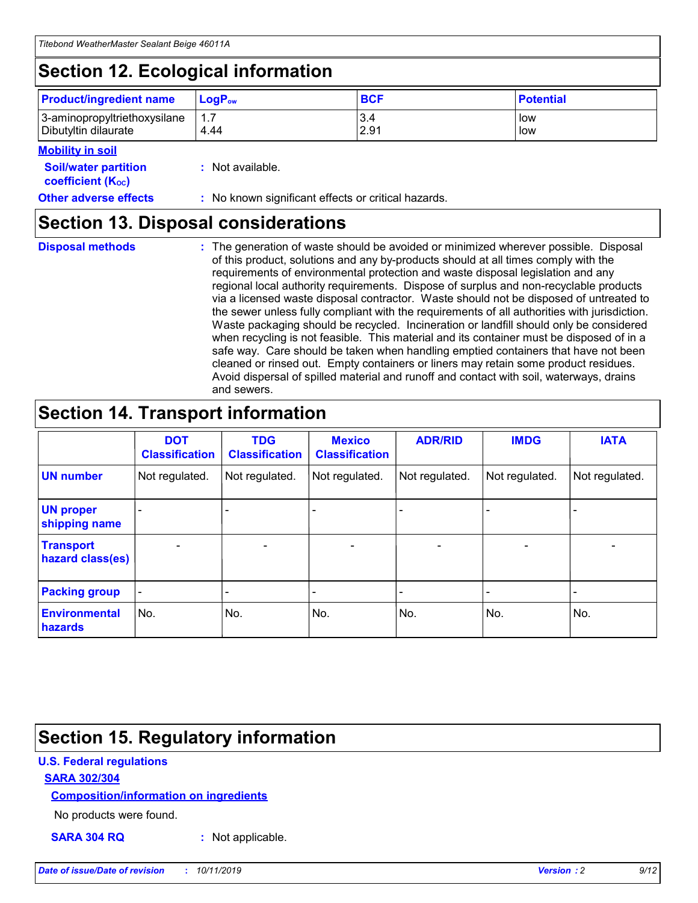# **Section 12. Ecological information**

| <b>Product/ingredient name</b> | $LoaPow$ | <b>BCF</b> | <b>Potential</b> |
|--------------------------------|----------|------------|------------------|
| 3-aminopropyltriethoxysilane   | 1.7      | 3.4        | low              |
| Dibutyltin dilaurate           | 4.44     | 2.91       | low              |

#### **Mobility in soil**

| <b>Soil/water partition</b><br>coefficient (K <sub>oc</sub> ) | : Not available.                                    |
|---------------------------------------------------------------|-----------------------------------------------------|
| <b>Other adverse effects</b>                                  | : No known significant effects or critical hazards. |

## **Section 13. Disposal considerations**

**Disposal methods :**

The generation of waste should be avoided or minimized wherever possible. Disposal of this product, solutions and any by-products should at all times comply with the requirements of environmental protection and waste disposal legislation and any regional local authority requirements. Dispose of surplus and non-recyclable products via a licensed waste disposal contractor. Waste should not be disposed of untreated to the sewer unless fully compliant with the requirements of all authorities with jurisdiction. Waste packaging should be recycled. Incineration or landfill should only be considered when recycling is not feasible. This material and its container must be disposed of in a safe way. Care should be taken when handling emptied containers that have not been cleaned or rinsed out. Empty containers or liners may retain some product residues. Avoid dispersal of spilled material and runoff and contact with soil, waterways, drains and sewers.

# **Section 14. Transport information**

|                                      | <b>DOT</b><br><b>Classification</b> | <b>TDG</b><br><b>Classification</b> | <b>Mexico</b><br><b>Classification</b> | <b>ADR/RID</b> | <b>IMDG</b>              | <b>IATA</b>              |
|--------------------------------------|-------------------------------------|-------------------------------------|----------------------------------------|----------------|--------------------------|--------------------------|
| <b>UN number</b>                     | Not regulated.                      | Not regulated.                      | Not regulated.                         | Not regulated. | Not regulated.           | Not regulated.           |
| <b>UN proper</b><br>shipping name    | $\blacksquare$                      |                                     |                                        |                |                          |                          |
| <b>Transport</b><br>hazard class(es) | $\blacksquare$                      | $\overline{\phantom{a}}$            | $\blacksquare$                         | $\blacksquare$ | $\overline{\phantom{a}}$ | $\overline{\phantom{0}}$ |
| <b>Packing group</b>                 | $\overline{\phantom{a}}$            | $\overline{\phantom{0}}$            | $\overline{\phantom{a}}$               | -              | $\overline{\phantom{0}}$ | $\overline{\phantom{a}}$ |
| <b>Environmental</b><br>hazards      | No.                                 | No.                                 | No.                                    | No.            | No.                      | No.                      |

# **Section 15. Regulatory information**

### **U.S. Federal regulations**

#### **SARA 302/304**

#### **Composition/information on ingredients**

No products were found.

**SARA 304 RQ :** Not applicable.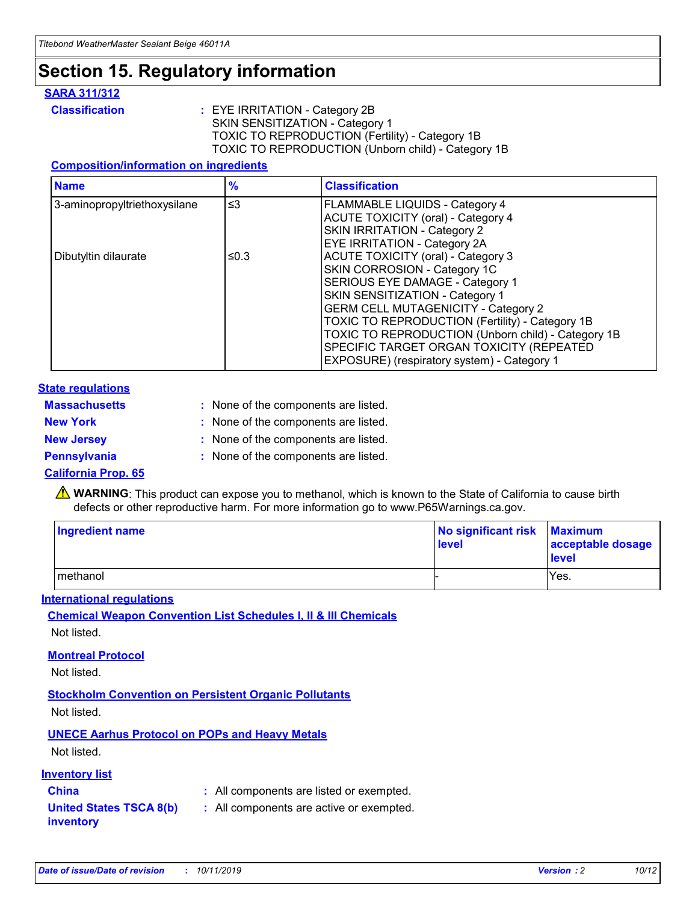# **Section 15. Regulatory information**

#### **SARA 311/312**

**Classification :** EYE IRRITATION - Category 2B SKIN SENSITIZATION - Category 1 TOXIC TO REPRODUCTION (Fertility) - Category 1B TOXIC TO REPRODUCTION (Unborn child) - Category 1B

#### **Composition/information on ingredients**

| <b>Name</b>                  | $\frac{9}{6}$ | <b>Classification</b>                                                                                            |
|------------------------------|---------------|------------------------------------------------------------------------------------------------------------------|
| 3-aminopropyltriethoxysilane | $\leq$ 3      | <b>FLAMMABLE LIQUIDS - Category 4</b><br><b>ACUTE TOXICITY (oral) - Category 4</b>                               |
|                              |               | SKIN IRRITATION - Category 2<br><b>EYE IRRITATION - Category 2A</b>                                              |
| Dibutyltin dilaurate         | ≤0.3          | ACUTE TOXICITY (oral) - Category 3<br>SKIN CORROSION - Category 1C                                               |
|                              |               | SERIOUS EYE DAMAGE - Category 1<br>SKIN SENSITIZATION - Category 1<br><b>GERM CELL MUTAGENICITY - Category 2</b> |
|                              |               | TOXIC TO REPRODUCTION (Fertility) - Category 1B<br>TOXIC TO REPRODUCTION (Unborn child) - Category 1B            |
|                              |               | SPECIFIC TARGET ORGAN TOXICITY (REPEATED<br>EXPOSURE) (respiratory system) - Category 1                          |

#### **State regulations**

| <b>Massachusetts</b> | : None of the components are listed. |
|----------------------|--------------------------------------|
| <b>New York</b>      | : None of the components are listed. |
| <b>New Jersey</b>    | : None of the components are listed. |
| Pennsylvania         | : None of the components are listed. |

#### **California Prop. 65**

**A** WARNING: This product can expose you to methanol, which is known to the State of California to cause birth defects or other reproductive harm. For more information go to www.P65Warnings.ca.gov.

| <b>Ingredient name</b> | No significant risk Maximum<br>level | acceptable dosage<br>level |
|------------------------|--------------------------------------|----------------------------|
| methanol               |                                      | Yes.                       |

#### **International regulations**

**Chemical Weapon Convention List Schedules I, II & III Chemicals** Not listed.

#### **Montreal Protocol**

Not listed.

#### **Stockholm Convention on Persistent Organic Pollutants**

Not listed.

## **UNECE Aarhus Protocol on POPs and Heavy Metals**

Not listed.

#### **Inventory list**

## **China :** All components are listed or exempted.

#### **United States TSCA 8(b) inventory :** All components are active or exempted.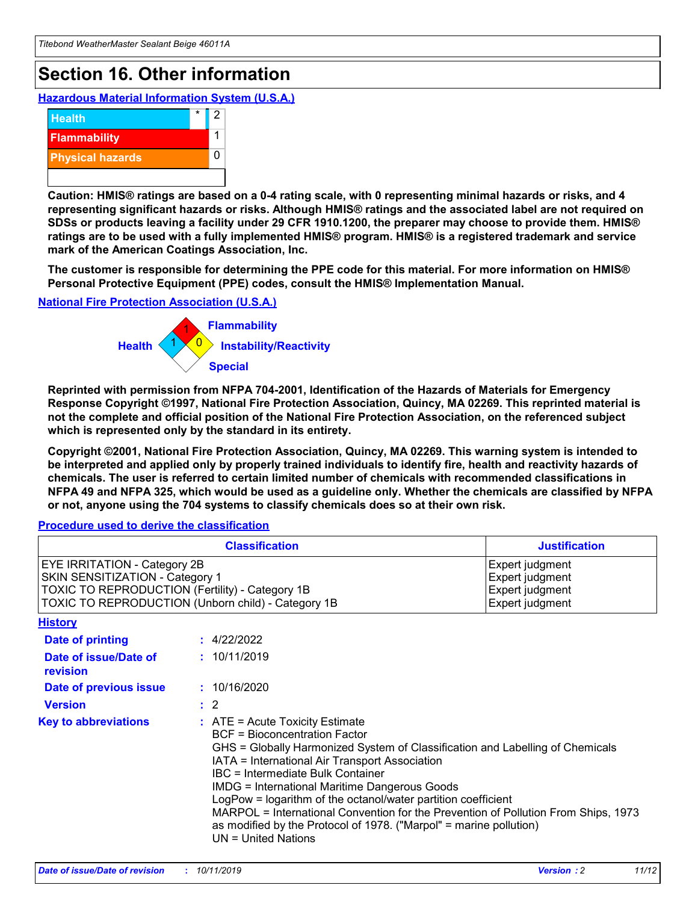# **Section 16. Other information**

**Hazardous Material Information System (U.S.A.)**



**Caution: HMIS® ratings are based on a 0-4 rating scale, with 0 representing minimal hazards or risks, and 4 representing significant hazards or risks. Although HMIS® ratings and the associated label are not required on SDSs or products leaving a facility under 29 CFR 1910.1200, the preparer may choose to provide them. HMIS® ratings are to be used with a fully implemented HMIS® program. HMIS® is a registered trademark and service mark of the American Coatings Association, Inc.**

**The customer is responsible for determining the PPE code for this material. For more information on HMIS® Personal Protective Equipment (PPE) codes, consult the HMIS® Implementation Manual.**

#### **National Fire Protection Association (U.S.A.)**



**Reprinted with permission from NFPA 704-2001, Identification of the Hazards of Materials for Emergency Response Copyright ©1997, National Fire Protection Association, Quincy, MA 02269. This reprinted material is not the complete and official position of the National Fire Protection Association, on the referenced subject which is represented only by the standard in its entirety.**

**Copyright ©2001, National Fire Protection Association, Quincy, MA 02269. This warning system is intended to be interpreted and applied only by properly trained individuals to identify fire, health and reactivity hazards of chemicals. The user is referred to certain limited number of chemicals with recommended classifications in NFPA 49 and NFPA 325, which would be used as a guideline only. Whether the chemicals are classified by NFPA or not, anyone using the 704 systems to classify chemicals does so at their own risk.**

**Procedure used to derive the classification**

| <b>Classification</b>                                                                                                                                                    |                                                                                                                                                  | <b>Justification</b>                                                                                                                                                                                                                                                                                                                                                                                                 |  |
|--------------------------------------------------------------------------------------------------------------------------------------------------------------------------|--------------------------------------------------------------------------------------------------------------------------------------------------|----------------------------------------------------------------------------------------------------------------------------------------------------------------------------------------------------------------------------------------------------------------------------------------------------------------------------------------------------------------------------------------------------------------------|--|
| EYE IRRITATION - Category 2B<br>SKIN SENSITIZATION - Category 1<br>TOXIC TO REPRODUCTION (Fertility) - Category 1B<br>TOXIC TO REPRODUCTION (Unborn child) - Category 1B |                                                                                                                                                  | Expert judgment<br>Expert judgment<br>Expert judgment<br>Expert judgment                                                                                                                                                                                                                                                                                                                                             |  |
| <b>History</b>                                                                                                                                                           |                                                                                                                                                  |                                                                                                                                                                                                                                                                                                                                                                                                                      |  |
| Date of printing                                                                                                                                                         | : 4/22/2022                                                                                                                                      |                                                                                                                                                                                                                                                                                                                                                                                                                      |  |
| Date of issue/Date of<br>revision                                                                                                                                        | : 10/11/2019                                                                                                                                     |                                                                                                                                                                                                                                                                                                                                                                                                                      |  |
| Date of previous issue                                                                                                                                                   | : 10/16/2020                                                                                                                                     |                                                                                                                                                                                                                                                                                                                                                                                                                      |  |
| <b>Version</b>                                                                                                                                                           | $\therefore$ 2                                                                                                                                   |                                                                                                                                                                                                                                                                                                                                                                                                                      |  |
| <b>Key to abbreviations</b>                                                                                                                                              | $\therefore$ ATE = Acute Toxicity Estimate<br><b>BCF</b> = Bioconcentration Factor<br>IBC = Intermediate Bulk Container<br>$UN = United Nations$ | GHS = Globally Harmonized System of Classification and Labelling of Chemicals<br>IATA = International Air Transport Association<br><b>IMDG = International Maritime Dangerous Goods</b><br>LogPow = logarithm of the octanol/water partition coefficient<br>MARPOL = International Convention for the Prevention of Pollution From Ships, 1973<br>as modified by the Protocol of 1978. ("Marpol" = marine pollution) |  |